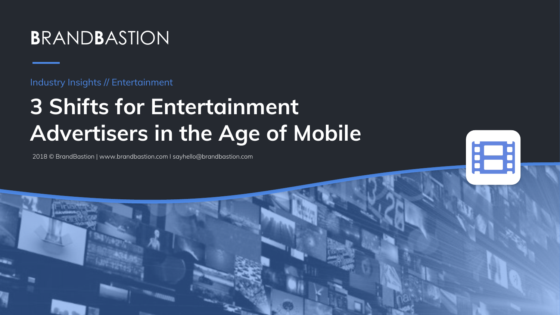

Industry Insights // Entertainment

# **3 Shifts for Entertainment Advertisers in the Age of Mobile**

18

2018 © BrandBastion | [www.brandbastion.com](http://www.brandbastion.com) I [sayhello@brandbastion.com](mailto:sayhello@brandbastion.com)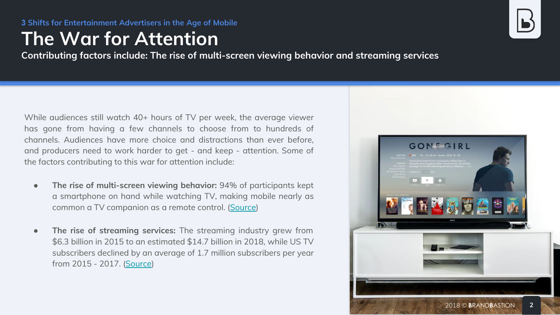# **The War for Attention**

**Contributing factors include: The rise of multi-screen viewing behavior and streaming services**

While audiences still watch 40+ hours of TV per week, the average viewer has gone from having a few channels to choose from to hundreds of channels. Audiences have more choice and distractions than ever before, and producers need to work harder to get - and keep - attention. Some of the factors contributing to this war for attention include:

- **The rise of multi-screen viewing behavior:** 94% of participants kept a smartphone on hand while watching TV, making mobile nearly as common a TV companion as a remote control. ([Source](https://scontent-arn2-1.xx.fbcdn.net/v/t39.2365-6/43132148_2496013923772874_2762770840234754048_n.pdf?_nc_cat=104&_nc_ht=scontent-arn2-1.xx&oh=80acf2e05f1ba5943050ded42208501f&oe=5C428DD1))
- **The rise of streaming services:** The streaming industry grew from \$6.3 billion in 2015 to an estimated \$14.7 billion in 2018, while US TV subscribers declined by an average of 1.7 million subscribers per year from 2015 - 2017. [\(Source\)](https://www.businessinsider.com/number-of-cord-cutters-in-2017-according-to-the-convergence-research-group-2017-4?r=US&IR=T&IR=T)

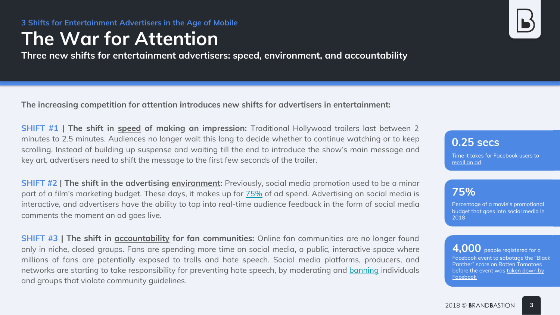# **The War for Attention**

**Three new shifts for entertainment advertisers: speed, environment, and accountability**

**The increasing competition for attention introduces new shifts for advertisers in entertainment:**

**SHIFT #1 | The shift in speed of making an impression:** Traditional Hollywood trailers last between 2 minutes to 2.5 minutes. Audiences no longer wait this long to decide whether to continue watching or to keep scrolling. Instead of building up suspense and waiting till the end to introduce the show's main message and key art, advertisers need to shift the message to the first few seconds of the trailer.

**SHIFT #2 | The shift in the advertising environment:** Previously, social media promotion used to be a minor part of a film's marketing budget. These days, it makes up for [75%](https://www.verdict.co.uk/inside-the-movie-marketing-machine-how-studios-turn-a-film-into-a-blockbuster/) of ad spend. Advertising on social media is interactive, and advertisers have the ability to tap into real-time audience feedback in the form of social media comments the moment an ad goes live.

**SHIFT #3** | The shift in **accountability for fan communities:** Online fan communities are no longer found only in niche, closed groups. Fans are spending more time on social media, a public, interactive space where millions of fans are potentially exposed to trolls and hate speech. Social media platforms, producers, and networks are starting to take responsibility for preventing hate speech, by moderating and [banning](https://www.theverge.com/2018/2/2/16964312/facebook-black-panther-rotten-tomatoes-last-jedi-review-bomb) individuals and groups that violate community guidelines.

**0.25 secs**

Time it takes for Facebook users to [recall an ad](https://scontent-arn2-1.xx.fbcdn.net/v/t39.2365-6/43132148_2496013923772874_2762770840234754048_n.pdf?_nc_cat=104&_nc_ht=scontent-arn2-1.xx&oh=80acf2e05f1ba5943050ded42208501f&oe=5C428DD1)

### **75%**

Percentage of a movie's promotional budget that goes into social media in 2018

**4,000** people registered for a Facebook event to sabotage the "Black Panther" score on Rotten Tomatoes before the event was [taken down by](https://www.theverge.com/2018/2/2/16964312/facebook-black-panther-rotten-tomatoes-last-jedi-review-bomb)  [Facebook](https://www.theverge.com/2018/2/2/16964312/facebook-black-panther-rotten-tomatoes-last-jedi-review-bomb)

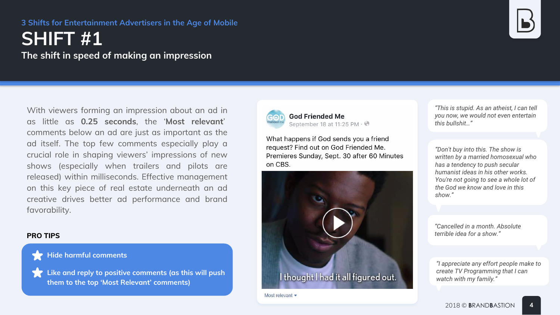## **SHIFT #1 The shift in speed of making an impression**

With viewers forming an impression about an ad in as little as **0.25 seconds**, the '**Most relevant**' comments below an ad are just as important as the ad itself. The top few comments especially play a crucial role in shaping viewers' impressions of new shows (especially when trailers and pilots are released) within milliseconds. Effective management on this key piece of real estate underneath an ad creative drives better ad performance and brand favorability.

#### **PRO TIPS**



**Like and reply to positive comments (as this will push them to the top 'Most Relevant' comments)**



**God Friended Me** September 18 at 11:25 PM  $\cdot$   $\odot$ 

What happens if God sends you a friend request? Find out on God Friended Me. Premieres Sunday, Sept. 30 after 60 Minutes on CBS.



Most relevant  $\blacktriangleright$ 



*"This is stupid. As an atheist, I can tell you now, we would not even entertain this bullshit…"*

*"Don't buy into this. The show is written by a married homosexual who has a tendency to push secular humanist ideas in his other works. You're not going to see a whole lot of the God we know and love in this show."*

*"Cancelled in a month. Absolute terrible idea for a show."*

*"I appreciate any effort people make to create TV Programming that I can watch with my family."*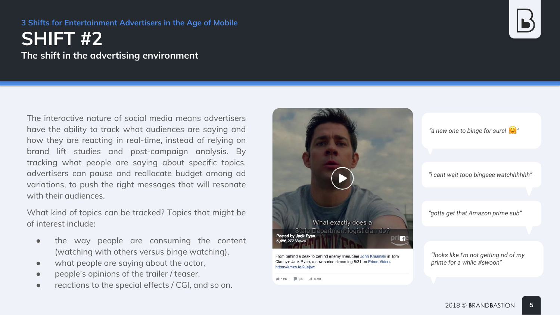## **SHIFT #2 The shift in the advertising environment**

The interactive nature of social media means advertisers have the ability to track what audiences are saying and how they are reacting in real-time, instead of relying on brand lift studies and post-campaign analysis. By tracking what people are saying about specific topics, advertisers can pause and reallocate budget among ad variations, to push the right messages that will resonate with their audiences.

What kind of topics can be tracked? Topics that might be of interest include:

- the way people are consuming the content (watching with others versus binge watching),
- what people are saying about the actor,
- people's opinions of the trailer / teaser,
- reactions to the special effects / CGI, and so on.



From behind a desk to behind enemy lines. See John Krasinski in Tom Clancy's Jack Ryan, a new series streaming 8/31 on Prime Video. https://amzn.to/2Jeitwt

 $\frac{1}{2}$  12K = 3K  $\rightarrow$  3.2K

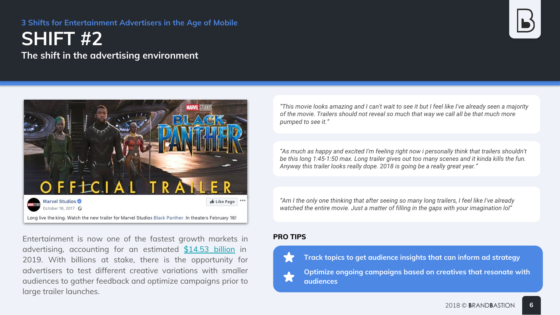## **SHIFT #2 The shift in the advertising environment**



Entertainment is now one of the fastest growth markets in **PRO TIPS**  advertising, accounting for an estimated [\\$14.53 billion](https://www.adcolony.com/blog/2018/09/11/digital-ad-spending-in-entertainment-media/) in 2019. With billions at stake, there is the opportunity for advertisers to test different creative variations with smaller audiences to gather feedback and optimize campaigns prior to large trailer launches.

*"This movie looks amazing and I can't wait to see it but I feel like I've already seen a majority of the movie. Trailers should not reveal so much that way we call all be that much more pumped to see it."*

*"As much as happy and excited I'm feeling right now i personally think that trailers shouldn't be this long 1:45-1:50 max. Long trailer gives out too many scenes and it kinda kills the fun. Anyway this trailer looks really dope. 2018 is going be a really great year."*

*"Am I the only one thinking that after seeing so many long trailers, I feel like I've already watched the entire movie. Just a matter of filling in the gaps with your imagination lol"*



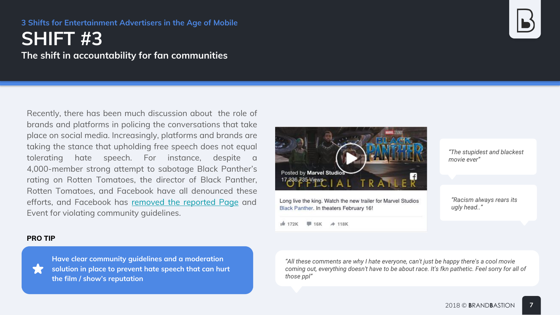## **SHIFT #3 The shift in accountability for fan communities**

Recently, there has been much discussion about the role of brands and platforms in policing the conversations that take place on social media. Increasingly, platforms and brands are taking the stance that upholding free speech does not equal tolerating hate speech. For instance, despite a 4,000-member strong attempt to sabotage Black Panther's rating on Rotten Tomatoes, the director of Black Panther, Rotten Tomatoes, and Facebook have all denounced these efforts, and Facebook has [removed the reported Page](https://marvelstudiosnews.com/2018/02/01/facebook-bans-hate-group-trying-sink-rotten-tomatoes-audience-score-black-panther/) and Event for violating community guidelines.



Long live the king. Watch the new trailer for Marvel Studios Black Panther. In theaters February 16!

**■ 16K → 118K** 1度 172K

*"The stupidest and blackest movie ever"*

*"Racism always rears its ugly head.."*

#### **PRO TIP**



**Have clear community guidelines and a moderation solution in place to prevent hate speech that can hurt the film / show's reputation**

*"All these comments are why I hate everyone, can't just be happy there's a cool movie coming out, everything doesn't have to be about race. It's fkn pathetic. Feel sorry for all of those ppl"*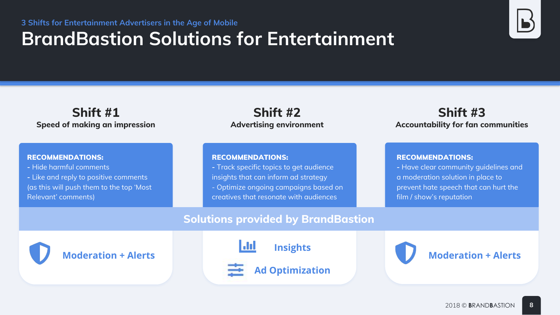# **BrandBastion Solutions for Entertainment**

### **Shift #1 Speed of making an impression**

### **Shift #2 Advertising environment**

#### RECOMMENDATIONS:

**-** Track specific topics to get audience insights that can inform ad strategy - Optimize ongoing campaigns based on creatives that resonate with audiences

### **Shift #3 Accountability for fan communities**

### RECOMMENDATIONS:

- **-** Hide harmful comments
- **-** Like and reply to positive comments (as this will push them to the top 'Most Relevant' comments)

#### RECOMMENDATIONS:

**-** Have clear community guidelines and a moderation solution in place to prevent hate speech that can hurt the film / show's reputation

### **Solutions provided by BrandBastion**

**Moderation + Alerts**